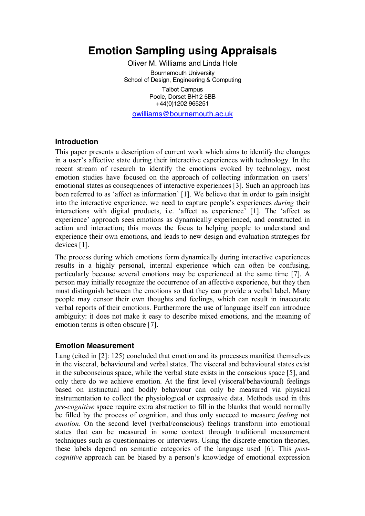# **Emotion Sampling using Appraisals**

Oliver M. Williams and Linda Hole Bournemouth University School of Design, Engineering & Computing Talbot Campus Poole, Dorset BH12 5BB +44(0)1202 965251

owilliams@bournemouth.ac.uk

#### **Introduction**

This paper presents a description of current work which aims to identify the changes in a user's affective state during their interactive experiences with technology. In the recent stream of research to identify the emotions evoked by technology, most emotion studies have focused on the approach of collecting information on users' emotional states as consequences of interactive experiences [3]. Such an approach has been referred to as 'affect as information' [1]. We believe that in order to gain insight into the interactive experience, we need to capture people's experiences *during* their interactions with digital products, i.e. 'affect as experience' [1]. The 'affect as experience' approach sees emotions as dynamically experienced, and constructed in action and interaction; this moves the focus to helping people to understand and experience their own emotions, and leads to new design and evaluation strategies for devices [1].

The process during which emotions form dynamically during interactive experiences results in a highly personal, internal experience which can often be confusing, particularly because several emotions may be experienced at the same time [7]. A person may initially recognize the occurrence of an affective experience, but they then must distinguish between the emotions so that they can provide a verbal label. Many people may censor their own thoughts and feelings, which can result in inaccurate verbal reports of their emotions. Furthermore the use of language itself can introduce ambiguity: it does not make it easy to describe mixed emotions, and the meaning of emotion terms is often obscure [7].

#### **Emotion Measurement**

Lang (cited in [2]: 125) concluded that emotion and its processes manifest themselves in the visceral, behavioural and verbal states. The visceral and behavioural states exist in the subconscious space, while the verbal state exists in the conscious space [5], and only there do we achieve emotion. At the first level (visceral/behavioural) feelings based on instinctual and bodily behaviour can only be measured via physical instrumentation to collect the physiological or expressive data. Methods used in this *pre-cognitive* space require extra abstraction to fill in the blanks that would normally be filled by the process of cognition, and thus only succeed to measure *feeling* not *emotion*. On the second level (verbal/conscious) feelings transform into emotional states that can be measured in some context through traditional measurement techniques such as questionnaires or interviews. Using the discrete emotion theories, these labels depend on semantic categories of the language used [6]. This *postcognitive* approach can be biased by a person's knowledge of emotional expression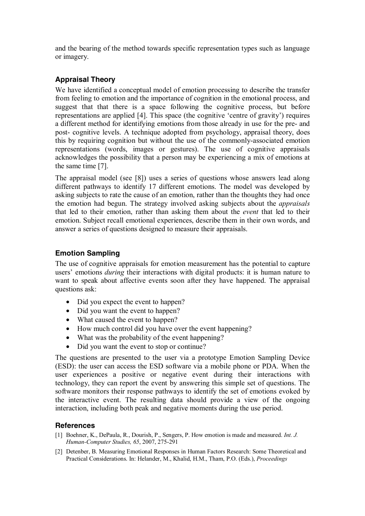and the bearing of the method towards specific representation types such as language or imagery.

# **Appraisal Theory**

We have identified a conceptual model of emotion processing to describe the transfer from feeling to emotion and the importance of cognition in the emotional process, and suggest that that there is a space following the cognitive process, but before representations are applied [4]. This space (the cognitive 'centre of gravity') requires a different method for identifying emotions from those already in use for the pre- and post- cognitive levels. A technique adopted from psychology, appraisal theory, does this by requiring cognition but without the use of the commonly-associated emotion representations (words, images or gestures). The use of cognitive appraisals acknowledges the possibility that a person may be experiencing a mix of emotions at the same time [7].

The appraisal model (see [8]) uses a series of questions whose answers lead along different pathways to identify 17 different emotions. The model was developed by asking subjects to rate the cause of an emotion, rather than the thoughts they had once the emotion had begun. The strategy involved asking subjects about the *appraisals*  that led to their emotion, rather than asking them about the *event* that led to their emotion. Subject recall emotional experiences, describe them in their own words, and answer a series of questions designed to measure their appraisals.

# **Emotion Sampling**

The use of cognitive appraisals for emotion measurement has the potential to capture users' emotions *during* their interactions with digital products: it is human nature to want to speak about affective events soon after they have happened. The appraisal questions ask:

- Did you expect the event to happen?
- Did you want the event to happen?
- What caused the event to happen?
- How much control did you have over the event happening?
- What was the probability of the event happening?
- Did you want the event to stop or continue?

The questions are presented to the user via a prototype Emotion Sampling Device (ESD): the user can access the ESD software via a mobile phone or PDA. When the user experiences a positive or negative event during their interactions with technology, they can report the event by answering this simple set of questions. The software monitors their response pathways to identify the set of emotions evoked by the interactive event. The resulting data should provide a view of the ongoing interaction, including both peak and negative moments during the use period.

### **References**

- [1] Boehner, K., DePaula, R., Dourish, P., Sengers, P. How emotion is made and measured. *Int. J. Human-Computer Studies, 65*, 2007, 275-291
- [2] Detenber, B. Measuring Emotional Responses in Human Factors Research: Some Theoretical and Practical Considerations. In: Helander, M., Khalid, H.M., Tham, P.O. (Eds.), *Proceedings*